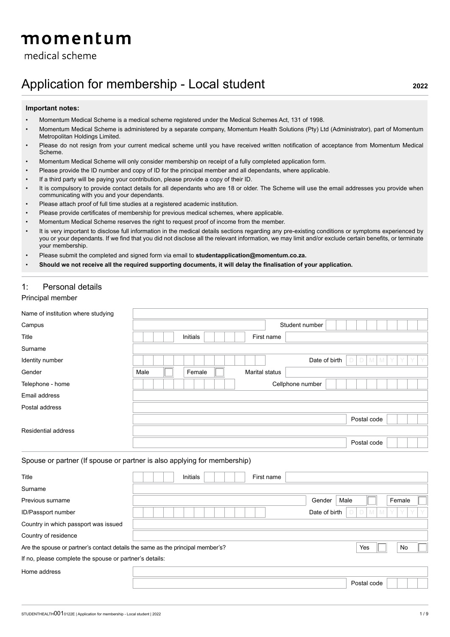# momentum

medical scheme

# Application for membership - Local student **2022**

#### **Important notes:**

- Momentum Medical Scheme is a medical scheme registered under the Medical Schemes Act, 131 of 1998.
- Momentum Medical Scheme is administered by a separate company, Momentum Health Solutions (Pty) Ltd (Administrator), part of Momentum Metropolitan Holdings Limited.
- Please do not resign from your current medical scheme until you have received written notification of acceptance from Momentum Medical Scheme.
- Momentum Medical Scheme will only consider membership on receipt of a fully completed application form.
- Please provide the ID number and copy of ID for the principal member and all dependants, where applicable.
- If a third party will be paying your contribution, please provide a copy of their ID.
- It is compulsory to provide contact details for all dependants who are 18 or older. The Scheme will use the email addresses you provide when communicating with you and your dependants.
- Please attach proof of full time studies at a registered academic institution.
- Please provide certificates of membership for previous medical schemes, where applicable.
- Momentum Medical Scheme reserves the right to request proof of income from the member.
- It is very important to disclose full information in the medical details sections regarding any pre-existing conditions or symptoms experienced by you or your dependants. If we find that you did not disclose all the relevant information, we may limit and/or exclude certain benefits, or terminate your membership.
- Please submit the completed and signed form via email to **studentapplication@momentum.co.za.**
- **Should we not receive all the required supporting documents, it will delay the finalisation of your application.**

# 1: Personal details

## Principal member

| Name of institution where studying                                              |                                                                          |                                       |
|---------------------------------------------------------------------------------|--------------------------------------------------------------------------|---------------------------------------|
| Campus                                                                          | Student number                                                           |                                       |
| Title                                                                           | <b>Initials</b><br>First name                                            |                                       |
| Surname                                                                         |                                                                          |                                       |
| Identity number                                                                 | Date of birth                                                            | D<br>$\mathbb{M}$<br>$\Box$<br>M<br>Υ |
| Gender                                                                          | Marital status<br>Male<br>Female                                         |                                       |
| Telephone - home                                                                | Cellphone number                                                         |                                       |
| Email address                                                                   |                                                                          |                                       |
| Postal address                                                                  |                                                                          |                                       |
|                                                                                 |                                                                          | Postal code                           |
| <b>Residential address</b>                                                      |                                                                          |                                       |
|                                                                                 |                                                                          | Postal code                           |
|                                                                                 | Spouse or partner (If spouse or partner is also applying for membership) |                                       |
| Title                                                                           | Initials<br>First name                                                   |                                       |
| Surname                                                                         |                                                                          |                                       |
| Previous surname                                                                | Male<br>Gender                                                           | Female                                |
| ID/Passport number                                                              | Date of birth                                                            | M                                     |
| Country in which passport was issued                                            |                                                                          |                                       |
| Country of residence                                                            |                                                                          |                                       |
| Are the spouse or partner's contact details the same as the principal member's? |                                                                          | No<br>Yes                             |
| If no, please complete the spouse or partner's details:                         |                                                                          |                                       |
| Home address                                                                    |                                                                          |                                       |
|                                                                                 |                                                                          | Postal code                           |
|                                                                                 |                                                                          |                                       |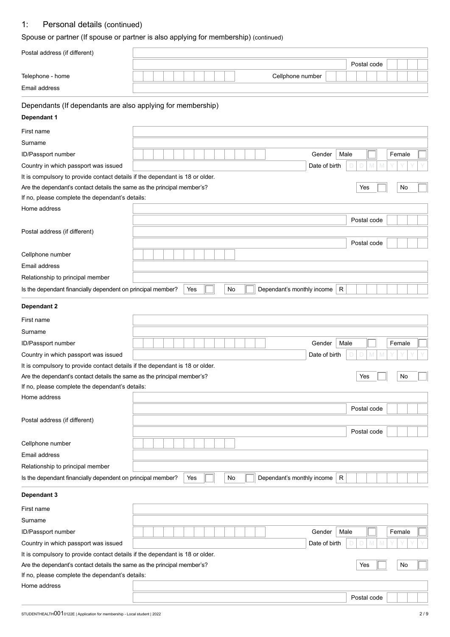# 1: Personal details (continued)

# Spouse or partner (If spouse or partner is also applying for membership) (continued)

| Postal address (if different)                                                |                                                                                                                                                                                                                                                                                                                                                                                      |  |  |  |  |  |  |  |             |  |  |  |
|------------------------------------------------------------------------------|--------------------------------------------------------------------------------------------------------------------------------------------------------------------------------------------------------------------------------------------------------------------------------------------------------------------------------------------------------------------------------------|--|--|--|--|--|--|--|-------------|--|--|--|
|                                                                              |                                                                                                                                                                                                                                                                                                                                                                                      |  |  |  |  |  |  |  |             |  |  |  |
| Telephone - home                                                             |                                                                                                                                                                                                                                                                                                                                                                                      |  |  |  |  |  |  |  |             |  |  |  |
| Email address                                                                |                                                                                                                                                                                                                                                                                                                                                                                      |  |  |  |  |  |  |  |             |  |  |  |
| Dependants (If dependants are also applying for membership)                  |                                                                                                                                                                                                                                                                                                                                                                                      |  |  |  |  |  |  |  |             |  |  |  |
| Dependant 1                                                                  |                                                                                                                                                                                                                                                                                                                                                                                      |  |  |  |  |  |  |  |             |  |  |  |
| First name                                                                   | Postal code<br>Cellphone number<br>Female<br>Gender<br>Male<br>Date of birth<br>Yes<br>No<br>Postal code<br>Postal code<br>Dependant's monthly income<br>$\mathsf{R}$<br>Yes<br>No<br>Gender<br>Male<br>Female<br>Date of birth<br>No<br>Yes<br>Postal code<br>Postal code<br>Yes<br>No<br>Dependant's monthly income<br>R<br>Male<br>Female<br>Gender<br>Date of birth<br>No<br>Yes |  |  |  |  |  |  |  |             |  |  |  |
| Surname                                                                      |                                                                                                                                                                                                                                                                                                                                                                                      |  |  |  |  |  |  |  |             |  |  |  |
| ID/Passport number                                                           |                                                                                                                                                                                                                                                                                                                                                                                      |  |  |  |  |  |  |  |             |  |  |  |
| Country in which passport was issued                                         |                                                                                                                                                                                                                                                                                                                                                                                      |  |  |  |  |  |  |  |             |  |  |  |
| It is compulsory to provide contact details if the dependant is 18 or older. |                                                                                                                                                                                                                                                                                                                                                                                      |  |  |  |  |  |  |  |             |  |  |  |
| Are the dependant's contact details the same as the principal member's?      |                                                                                                                                                                                                                                                                                                                                                                                      |  |  |  |  |  |  |  |             |  |  |  |
| If no, please complete the dependant's details:                              |                                                                                                                                                                                                                                                                                                                                                                                      |  |  |  |  |  |  |  |             |  |  |  |
| Home address                                                                 |                                                                                                                                                                                                                                                                                                                                                                                      |  |  |  |  |  |  |  |             |  |  |  |
|                                                                              |                                                                                                                                                                                                                                                                                                                                                                                      |  |  |  |  |  |  |  |             |  |  |  |
| Postal address (if different)                                                |                                                                                                                                                                                                                                                                                                                                                                                      |  |  |  |  |  |  |  |             |  |  |  |
|                                                                              |                                                                                                                                                                                                                                                                                                                                                                                      |  |  |  |  |  |  |  |             |  |  |  |
| Cellphone number                                                             |                                                                                                                                                                                                                                                                                                                                                                                      |  |  |  |  |  |  |  |             |  |  |  |
| Email address                                                                |                                                                                                                                                                                                                                                                                                                                                                                      |  |  |  |  |  |  |  |             |  |  |  |
| Relationship to principal member                                             |                                                                                                                                                                                                                                                                                                                                                                                      |  |  |  |  |  |  |  |             |  |  |  |
| Is the dependant financially dependent on principal member?                  |                                                                                                                                                                                                                                                                                                                                                                                      |  |  |  |  |  |  |  |             |  |  |  |
| Dependant 2                                                                  |                                                                                                                                                                                                                                                                                                                                                                                      |  |  |  |  |  |  |  |             |  |  |  |
|                                                                              |                                                                                                                                                                                                                                                                                                                                                                                      |  |  |  |  |  |  |  |             |  |  |  |
| First name                                                                   |                                                                                                                                                                                                                                                                                                                                                                                      |  |  |  |  |  |  |  |             |  |  |  |
| Surname                                                                      |                                                                                                                                                                                                                                                                                                                                                                                      |  |  |  |  |  |  |  |             |  |  |  |
| ID/Passport number                                                           |                                                                                                                                                                                                                                                                                                                                                                                      |  |  |  |  |  |  |  |             |  |  |  |
| Country in which passport was issued                                         |                                                                                                                                                                                                                                                                                                                                                                                      |  |  |  |  |  |  |  |             |  |  |  |
| It is compulsory to provide contact details if the dependant is 18 or older. |                                                                                                                                                                                                                                                                                                                                                                                      |  |  |  |  |  |  |  |             |  |  |  |
| Are the dependant's contact details the same as the principal member's?      |                                                                                                                                                                                                                                                                                                                                                                                      |  |  |  |  |  |  |  |             |  |  |  |
| If no, please complete the dependant's details:                              |                                                                                                                                                                                                                                                                                                                                                                                      |  |  |  |  |  |  |  |             |  |  |  |
| Home address                                                                 |                                                                                                                                                                                                                                                                                                                                                                                      |  |  |  |  |  |  |  |             |  |  |  |
|                                                                              |                                                                                                                                                                                                                                                                                                                                                                                      |  |  |  |  |  |  |  |             |  |  |  |
| Postal address (if different)                                                |                                                                                                                                                                                                                                                                                                                                                                                      |  |  |  |  |  |  |  |             |  |  |  |
|                                                                              |                                                                                                                                                                                                                                                                                                                                                                                      |  |  |  |  |  |  |  |             |  |  |  |
| Cellphone number                                                             |                                                                                                                                                                                                                                                                                                                                                                                      |  |  |  |  |  |  |  |             |  |  |  |
| Email address                                                                |                                                                                                                                                                                                                                                                                                                                                                                      |  |  |  |  |  |  |  |             |  |  |  |
| Relationship to principal member                                             |                                                                                                                                                                                                                                                                                                                                                                                      |  |  |  |  |  |  |  |             |  |  |  |
| Is the dependant financially dependent on principal member?                  |                                                                                                                                                                                                                                                                                                                                                                                      |  |  |  |  |  |  |  |             |  |  |  |
| Dependant 3                                                                  |                                                                                                                                                                                                                                                                                                                                                                                      |  |  |  |  |  |  |  |             |  |  |  |
| First name                                                                   |                                                                                                                                                                                                                                                                                                                                                                                      |  |  |  |  |  |  |  |             |  |  |  |
| Surname                                                                      |                                                                                                                                                                                                                                                                                                                                                                                      |  |  |  |  |  |  |  |             |  |  |  |
| ID/Passport number                                                           |                                                                                                                                                                                                                                                                                                                                                                                      |  |  |  |  |  |  |  |             |  |  |  |
| Country in which passport was issued                                         |                                                                                                                                                                                                                                                                                                                                                                                      |  |  |  |  |  |  |  |             |  |  |  |
| It is compulsory to provide contact details if the dependant is 18 or older. |                                                                                                                                                                                                                                                                                                                                                                                      |  |  |  |  |  |  |  |             |  |  |  |
| Are the dependant's contact details the same as the principal member's?      |                                                                                                                                                                                                                                                                                                                                                                                      |  |  |  |  |  |  |  |             |  |  |  |
| If no, please complete the dependant's details:                              |                                                                                                                                                                                                                                                                                                                                                                                      |  |  |  |  |  |  |  |             |  |  |  |
| Home address                                                                 |                                                                                                                                                                                                                                                                                                                                                                                      |  |  |  |  |  |  |  |             |  |  |  |
|                                                                              |                                                                                                                                                                                                                                                                                                                                                                                      |  |  |  |  |  |  |  | Postal code |  |  |  |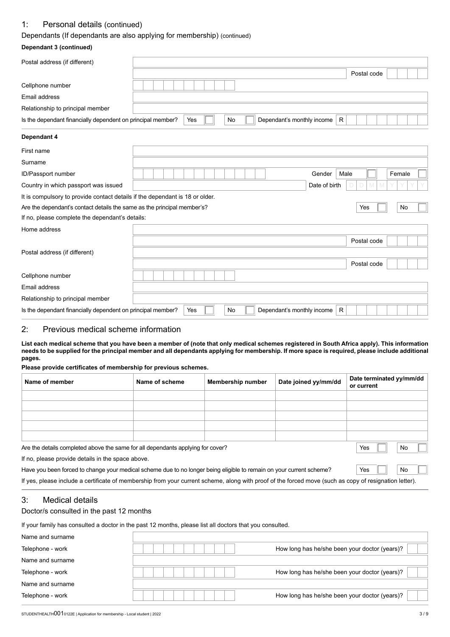## 1: Personal details (continued)

## Dependants (If dependants are also applying for membership) (continued)

## **Dependant 3 (continued)**

| Postal address (if different)                                                |                                              |             |        |
|------------------------------------------------------------------------------|----------------------------------------------|-------------|--------|
|                                                                              |                                              | Postal code |        |
| Cellphone number                                                             |                                              |             |        |
| Email address                                                                |                                              |             |        |
| Relationship to principal member                                             |                                              |             |        |
| Is the dependant financially dependent on principal member?                  | Dependant's monthly income<br>Yes<br>R<br>No |             |        |
| Dependant 4                                                                  |                                              |             |        |
| First name                                                                   |                                              |             |        |
| Surname                                                                      |                                              |             |        |
| ID/Passport number                                                           | Gender<br>Male                               |             | Female |
| Country in which passport was issued                                         | Date of birth                                | M           |        |
| It is compulsory to provide contact details if the dependant is 18 or older. |                                              |             |        |
| Are the dependant's contact details the same as the principal member's?      |                                              | Yes         | No     |
| If no, please complete the dependant's details:                              |                                              |             |        |
| Home address                                                                 |                                              |             |        |
|                                                                              |                                              | Postal code |        |
| Postal address (if different)                                                |                                              |             |        |
|                                                                              |                                              | Postal code |        |
| Cellphone number                                                             |                                              |             |        |
| Email address                                                                |                                              |             |        |
| Relationship to principal member                                             |                                              |             |        |
| Is the dependant financially dependent on principal member?                  | Dependant's monthly income<br>Yes<br>No<br>R |             |        |

# 2: Previous medical scheme information

**List each medical scheme that you have been a member of (note that only medical schemes registered in South Africa apply). This information needs to be supplied for the principal member and all dependants applying for membership. If more space is required, please include additional pages.** 

## **Please provide certificates of membership for previous schemes.**

| Name of member | Name of scheme | <b>Membership number</b> | Date joined yy/mm/dd | Date terminated yy/mm/dd<br>or current |
|----------------|----------------|--------------------------|----------------------|----------------------------------------|
|                |                |                          |                      |                                        |
|                |                |                          |                      |                                        |
|                |                |                          |                      |                                        |
|                |                |                          |                      |                                        |
|                |                |                          |                      |                                        |
|                |                |                          |                      | $-$                                    |

Are the details completed above the same for all dependants applying for cover?  $\blacksquare$  Yes  $\blacksquare$  No

If no, please provide details in the space above.

| Have you been forced to change your medical scheme due to no longer being eligible to remain on your current scheme? | ์ Yes | $\Box$ No |  |
|----------------------------------------------------------------------------------------------------------------------|-------|-----------|--|
|                                                                                                                      |       |           |  |

If yes, please include a certificate of membership from your current scheme, along with proof of the forced move (such as copy of resignation letter).

# 3: Medical details

# Doctor/s consulted in the past 12 months

If your family has consulted a doctor in the past 12 months, please list all doctors that you consulted.

| Name and surname |                                               |
|------------------|-----------------------------------------------|
| Telephone - work | How long has he/she been your doctor (years)? |
| Name and surname |                                               |
| Telephone - work | How long has he/she been your doctor (years)? |
| Name and surname |                                               |
| Telephone - work | How long has he/she been your doctor (years)? |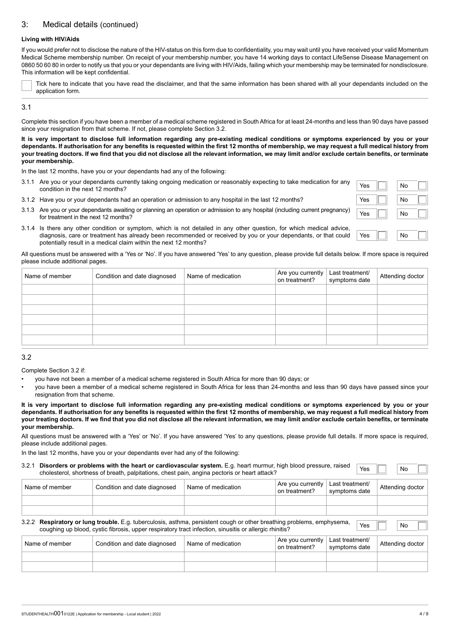## 3: Medical details (continued)

#### **Living with HIV/Aids**

If you would prefer not to disclose the nature of the HIV-status on this form due to confidentiality, you may wait until you have received your valid Momentum Medical Scheme membership number. On receipt of your membership number, you have 14 working days to contact LifeSense Disease Management on 0860 50 60 80 in order to notify us that you or your dependants are living with HIV/Aids, failing which your membership may be terminated for nondisclosure. This information will be kept confidential.

Tick here to indicate that you have read the disclaimer, and that the same information has been shared with all your dependants included on the application form.

#### 3.1

Complete this section if you have been a member of a medical scheme registered in South Africa for at least 24-months and less than 90 days have passed since your resignation from that scheme. If not, please complete Section 3.2.

**It is very important to disclose full information regarding any pre-existing medical conditions or symptoms experienced by you or your dependants. If authorisation for any benefits is requested within the first 12 months of membership, we may request a full medical history from your treating doctors. If we find that you did not disclose all the relevant information, we may limit and/or exclude certain benefits, or terminate your membership.**

In the last 12 months, have you or your dependants had any of the following:

- 3.1.1 Are you or your dependants currently taking ongoing medication or reasonably expecting to take medication for any **No Tes No All Condition** in the next 12 months?
- 3.1.2 Have you or your dependants had an operation or admission to any hospital in the last 12 months?
- 3.1.3 Are you or your dependants awaiting or planning an operation or admission to any hospital (including current pregnancy) <br>for treatment in the next 12 months?



3.1.4 Is there any other condition or symptom, which is not detailed in any other question, for which medical advice, diagnosis, care or treatment has already been recommended or received by you or your dependants, or that could potentially result in a medical claim within the next 12 months?

All questions must be answered with a 'Yes or 'No'. If you have answered 'Yes' to any question, please provide full details below. If more space is required please include additional pages.

| Name of member | Condition and date diagnosed | Name of medication | Are you currently<br>on treatment? | Last treatment/<br>symptoms date | Attending doctor |
|----------------|------------------------------|--------------------|------------------------------------|----------------------------------|------------------|
|                |                              |                    |                                    |                                  |                  |
|                |                              |                    |                                    |                                  |                  |
|                |                              |                    |                                    |                                  |                  |
|                |                              |                    |                                    |                                  |                  |
|                |                              |                    |                                    |                                  |                  |
|                |                              |                    |                                    |                                  |                  |
|                |                              |                    |                                    |                                  |                  |

#### 3.2

Complete Section 3.2 if:

- you have not been a member of a medical scheme registered in South Africa for more than 90 days; or
- you have been a member of a medical scheme registered in South Africa for less than 24-months and less than 90 days have passed since your resignation from that scheme.

**It is very important to disclose full information regarding any pre-existing medical conditions or symptoms experienced by you or your dependants. If authorisation for any benefits is requested within the first 12 months of membership, we may request a full medical history from your treating doctors. If we find that you did not disclose all the relevant information, we may limit and/or exclude certain benefits, or terminate your membership.**

All questions must be answered with a 'Yes' or 'No'. If you have answered 'Yes' to any questions, please provide full details. If more space is required, please include additional pages.

In the last 12 months, have you or your dependants ever had any of the following:

| 3.2.1          | Disorders or problems with the heart or cardiovascular system. E.g. heart murmur, high blood pressure, raised<br>cholesterol, shortness of breath, palpitations, chest pain, angina pectoris or heart attack?                    |                    |                                    | Yes                              | No               |
|----------------|----------------------------------------------------------------------------------------------------------------------------------------------------------------------------------------------------------------------------------|--------------------|------------------------------------|----------------------------------|------------------|
| Name of member | Condition and date diagnosed                                                                                                                                                                                                     | Name of medication | Are you currently<br>on treatment? | Last treatment/<br>symptoms date | Attending doctor |
|                |                                                                                                                                                                                                                                  |                    |                                    |                                  |                  |
|                |                                                                                                                                                                                                                                  |                    |                                    |                                  |                  |
|                | 3.2.2 Respiratory or lung trouble. E.g. tuberculosis, asthma, persistent cough or other breathing problems, emphysema,<br>coughing up blood, cystic fibrosis, upper respiratory tract infection, sinusitis or allergic rhinitis? |                    |                                    | Yes                              | No               |

| Name of member | Condition and date diagnosed | Name of medication | Are you currently<br>on treatment? | Last treatment/<br>symptoms date | Attending doctor |
|----------------|------------------------------|--------------------|------------------------------------|----------------------------------|------------------|
|                |                              |                    |                                    |                                  |                  |
|                |                              |                    |                                    |                                  |                  |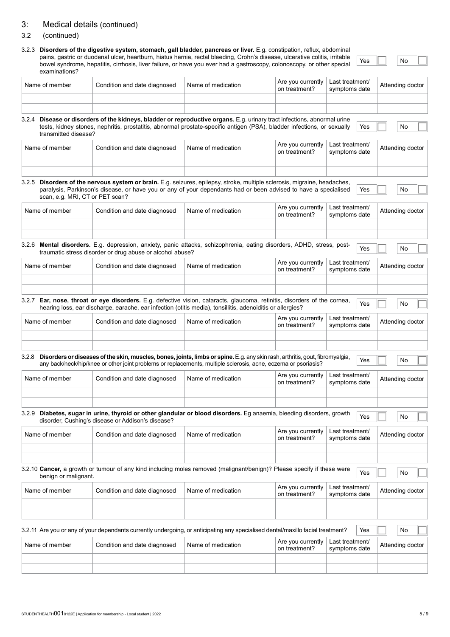# 3: Medical details (continued)

## 3.2 (continued)

# 3.2.3 **Disorders of the digestive system, stomach, gall bladder, pancreas or liver.** E.g. constipation, reflux, abdominal pains, gastric or duodenal ulcer, heartburn, hiatus hernia, rectal bleeding, Crohn's disease, ulcerative colitis, irritable bowel syndrome, hepatitis, cirrhosis, liver failure, or have you ever had a gastroscopy, colonoscopy, or other special

Yes  $\Box$  No

| examinations?                   |                                                                                                                                                                                                                                                     |                    |                                    |                                  |                  |
|---------------------------------|-----------------------------------------------------------------------------------------------------------------------------------------------------------------------------------------------------------------------------------------------------|--------------------|------------------------------------|----------------------------------|------------------|
| Name of member                  | Condition and date diagnosed                                                                                                                                                                                                                        | Name of medication | Are you currently<br>on treatment? | Last treatment/<br>symptoms date | Attending doctor |
|                                 |                                                                                                                                                                                                                                                     |                    |                                    |                                  |                  |
| transmitted disease?            | 3.2.4 Disease or disorders of the kidneys, bladder or reproductive organs. E.g. urinary tract infections, abnormal urine<br>tests, kidney stones, nephritis, prostatitis, abnormal prostate-specific antigen (PSA), bladder infections, or sexually |                    |                                    | Yes                              | No               |
| Name of member                  | Condition and date diagnosed                                                                                                                                                                                                                        | Name of medication | Are you currently<br>on treatment? | Last treatment/<br>symptoms date | Attending doctor |
|                                 |                                                                                                                                                                                                                                                     |                    |                                    |                                  |                  |
| scan, e.g. MRI, CT or PET scan? | 3.2.5 Disorders of the nervous system or brain. E.g. seizures, epilepsy, stroke, multiple sclerosis, migraine, headaches,<br>paralysis, Parkinson's disease, or have you or any of your dependants had or been advised to have a specialised        |                    |                                    | Yes                              | No               |
| Name of member                  | Condition and date diagnosed                                                                                                                                                                                                                        | Name of medication | Are you currently<br>on treatment? | Last treatment/<br>symptoms date | Attending doctor |
|                                 | 3.2.6 Mental disorders. E.g. depression, anxiety, panic attacks, schizophrenia, eating disorders, ADHD, stress, post-<br>traumatic stress disorder or drug abuse or alcohol abuse?                                                                  |                    |                                    | Yes                              | No               |
| Name of member                  | Condition and date diagnosed                                                                                                                                                                                                                        | Name of medication | Are you currently<br>on treatment? | Last treatment/<br>symptoms date | Attending doctor |
|                                 | 3.2.7 Ear, nose, throat or eye disorders. E.g. defective vision, cataracts, glaucoma, retinitis, disorders of the cornea,<br>hearing loss, ear discharge, earache, ear infection (otitis media), tonsillitis, adenoiditis or allergies?             |                    | Are you currently                  | Yes<br>Last treatment/           | No               |
| Name of member                  | Condition and date diagnosed                                                                                                                                                                                                                        | Name of medication | on treatment?                      | symptoms date                    | Attending doctor |
| 3.2.8                           | Disorders or diseases of the skin, muscles, bones, joints, limbs or spine. E.g. any skin rash, arthritis, gout, fibromyalgia,<br>any back/neck/hip/knee or other joint problems or replacements, multiple sclerosis, acne, eczema or psoriasis?     |                    |                                    | Yes                              | No               |
| Name of member                  | Condition and date diagnosed                                                                                                                                                                                                                        | Name of medication | Are you currently<br>on treatment? | Last treatment/<br>symptoms date | Attending doctor |
|                                 |                                                                                                                                                                                                                                                     |                    |                                    |                                  |                  |
|                                 | 3.2.9 Diabetes, sugar in urine, thyroid or other glandular or blood disorders. Eg anaemia, bleeding disorders, growth<br>disorder, Cushing's disease or Addison's disease?                                                                          |                    |                                    | Yes                              | No               |
| Name of member                  | Condition and date diagnosed                                                                                                                                                                                                                        | Name of medication | Are you currently<br>on treatment? | Last treatment/<br>symptoms date | Attending doctor |
|                                 |                                                                                                                                                                                                                                                     |                    |                                    |                                  |                  |
| benign or malignant.            | 3.2.10 Cancer, a growth or tumour of any kind including moles removed (malignant/benign)? Please specify if these were                                                                                                                              |                    |                                    | Yes                              | No               |
| Name of member                  | Condition and date diagnosed                                                                                                                                                                                                                        | Name of medication | Are you currently<br>on treatment? | Last treatment/<br>symptoms date | Attending doctor |
|                                 |                                                                                                                                                                                                                                                     |                    |                                    |                                  |                  |
|                                 | 3.2.11 Are you or any of your dependants currently undergoing, or anticipating any specialised dental/maxillo facial treatment?                                                                                                                     |                    |                                    | Yes                              | No               |
| Name of member                  | Condition and date diagnosed                                                                                                                                                                                                                        | Name of medication | Are you currently<br>on treatment? | Last treatment/<br>symptoms date | Attending doctor |
|                                 |                                                                                                                                                                                                                                                     |                    |                                    |                                  |                  |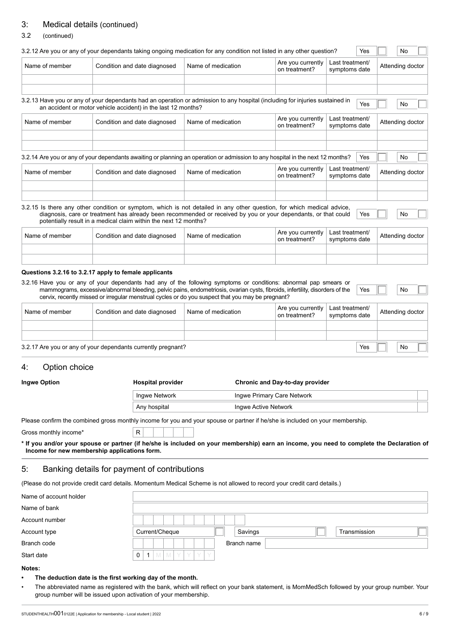# 3: Medical details (continued)

#### 3.2 (continued)

| Condition and date diagnosed<br>on treatment?<br>symptoms date<br>3.2.13 Have you or any of your dependants had an operation or admission to any hospital (including for injuries sustained in<br>Yes<br>an accident or motor vehicle accident) in the last 12 months?<br>Are you currently<br>Last treatment/<br>Name of member<br>Condition and date diagnosed<br>Name of medication<br>on treatment?<br>symptoms date<br>3.2.14 Are you or any of your dependants awaiting or planning an operation or admission to any hospital in the next 12 months?<br>Yes<br>Are you currently<br>Last treatment/<br>Name of member<br>Condition and date diagnosed<br>Name of medication<br>on treatment?<br>symptoms date<br>3.2.15 Is there any other condition or symptom, which is not detailed in any other question, for which medical advice,<br>diagnosis, care or treatment has already been recommended or received by you or your dependants, or that could<br>Yes<br>potentially result in a medical claim within the next 12 months?<br>Are you currently<br>Last treatment/<br>Name of member<br>Name of medication<br>Condition and date diagnosed<br>on treatment?<br>symptoms date<br>Questions 3.2.16 to 3.2.17 apply to female applicants<br>3.2.16 Have you or any of your dependants had any of the following symptoms or conditions: abnormal pap smears or<br>mammograms, excessive/abnormal bleeding, pelvic pains, endometriosis, ovarian cysts, fibroids, infertility, disorders of the<br>Yes<br>cervix, recently missed or irregular menstrual cycles or do you suspect that you may be pregnant?<br>Are you currently<br>Last treatment/<br>Name of member<br>Condition and date diagnosed<br>Name of medication<br>on treatment?<br>symptoms date<br>3.2.17 Are you or any of your dependants currently pregnant?<br>Yes<br>Option choice |                        | Last treatment/ | Are you currently |                    |  |                |
|------------------------------------------------------------------------------------------------------------------------------------------------------------------------------------------------------------------------------------------------------------------------------------------------------------------------------------------------------------------------------------------------------------------------------------------------------------------------------------------------------------------------------------------------------------------------------------------------------------------------------------------------------------------------------------------------------------------------------------------------------------------------------------------------------------------------------------------------------------------------------------------------------------------------------------------------------------------------------------------------------------------------------------------------------------------------------------------------------------------------------------------------------------------------------------------------------------------------------------------------------------------------------------------------------------------------------------------------------------------------------------------------------------------------------------------------------------------------------------------------------------------------------------------------------------------------------------------------------------------------------------------------------------------------------------------------------------------------------------------------------------------------------------------------------------------------------------------------------------------|------------------------|-----------------|-------------------|--------------------|--|----------------|
|                                                                                                                                                                                                                                                                                                                                                                                                                                                                                                                                                                                                                                                                                                                                                                                                                                                                                                                                                                                                                                                                                                                                                                                                                                                                                                                                                                                                                                                                                                                                                                                                                                                                                                                                                                                                                                                                  | Attending doctor       |                 |                   | Name of medication |  | Name of member |
|                                                                                                                                                                                                                                                                                                                                                                                                                                                                                                                                                                                                                                                                                                                                                                                                                                                                                                                                                                                                                                                                                                                                                                                                                                                                                                                                                                                                                                                                                                                                                                                                                                                                                                                                                                                                                                                                  | No                     |                 |                   |                    |  |                |
|                                                                                                                                                                                                                                                                                                                                                                                                                                                                                                                                                                                                                                                                                                                                                                                                                                                                                                                                                                                                                                                                                                                                                                                                                                                                                                                                                                                                                                                                                                                                                                                                                                                                                                                                                                                                                                                                  |                        |                 |                   |                    |  |                |
|                                                                                                                                                                                                                                                                                                                                                                                                                                                                                                                                                                                                                                                                                                                                                                                                                                                                                                                                                                                                                                                                                                                                                                                                                                                                                                                                                                                                                                                                                                                                                                                                                                                                                                                                                                                                                                                                  | Attending doctor       |                 |                   |                    |  |                |
|                                                                                                                                                                                                                                                                                                                                                                                                                                                                                                                                                                                                                                                                                                                                                                                                                                                                                                                                                                                                                                                                                                                                                                                                                                                                                                                                                                                                                                                                                                                                                                                                                                                                                                                                                                                                                                                                  | No                     |                 |                   |                    |  |                |
|                                                                                                                                                                                                                                                                                                                                                                                                                                                                                                                                                                                                                                                                                                                                                                                                                                                                                                                                                                                                                                                                                                                                                                                                                                                                                                                                                                                                                                                                                                                                                                                                                                                                                                                                                                                                                                                                  | Attending doctor       |                 |                   |                    |  |                |
|                                                                                                                                                                                                                                                                                                                                                                                                                                                                                                                                                                                                                                                                                                                                                                                                                                                                                                                                                                                                                                                                                                                                                                                                                                                                                                                                                                                                                                                                                                                                                                                                                                                                                                                                                                                                                                                                  | No<br>Attending doctor |                 |                   |                    |  |                |
|                                                                                                                                                                                                                                                                                                                                                                                                                                                                                                                                                                                                                                                                                                                                                                                                                                                                                                                                                                                                                                                                                                                                                                                                                                                                                                                                                                                                                                                                                                                                                                                                                                                                                                                                                                                                                                                                  | No                     |                 |                   |                    |  |                |
|                                                                                                                                                                                                                                                                                                                                                                                                                                                                                                                                                                                                                                                                                                                                                                                                                                                                                                                                                                                                                                                                                                                                                                                                                                                                                                                                                                                                                                                                                                                                                                                                                                                                                                                                                                                                                                                                  | Attending doctor       |                 |                   |                    |  |                |
|                                                                                                                                                                                                                                                                                                                                                                                                                                                                                                                                                                                                                                                                                                                                                                                                                                                                                                                                                                                                                                                                                                                                                                                                                                                                                                                                                                                                                                                                                                                                                                                                                                                                                                                                                                                                                                                                  | No                     |                 |                   |                    |  |                |
|                                                                                                                                                                                                                                                                                                                                                                                                                                                                                                                                                                                                                                                                                                                                                                                                                                                                                                                                                                                                                                                                                                                                                                                                                                                                                                                                                                                                                                                                                                                                                                                                                                                                                                                                                                                                                                                                  |                        |                 |                   |                    |  | 4.             |
| <b>Ingwe Option</b><br><b>Hospital provider</b><br>Chronic and Day-to-day provider                                                                                                                                                                                                                                                                                                                                                                                                                                                                                                                                                                                                                                                                                                                                                                                                                                                                                                                                                                                                                                                                                                                                                                                                                                                                                                                                                                                                                                                                                                                                                                                                                                                                                                                                                                               |                        |                 |                   |                    |  |                |

| <b>HOSPILAI Provider</b> | Chronic and Day-to-day provider |  |
|--------------------------|---------------------------------|--|
| Ingwe Network            | Ingwe Primary Care Network      |  |
| Any hospital             | Ingwe Active Network            |  |

Please confirm the combined gross monthly income for you and your spouse or partner if he/she is included on your membership.

Gross monthly income\* R

**\* If you and/or your spouse or partner (if he/she is included on your membership) earn an income, you need to complete the Declaration of Income for new membership applications form.**

## 5: Banking details for payment of contributions

(Please do not provide credit card details. Momentum Medical Scheme is not allowed to record your credit card details.)

| Name of account holder |                                           |
|------------------------|-------------------------------------------|
| Name of bank           |                                           |
| Account number         |                                           |
| Account type           | Current/Cheque<br>Savings<br>Transmission |
| Branch code            | Branch name                               |
| Start date             | IMIYIYIYIY<br>0<br>M<br>$\mathbf{1}$      |

#### **Notes:**

- **• The deduction date is the first working day of the month.**
- The abbreviated name as registered with the bank, which will reflect on your bank statement, is MomMedSch followed by your group number. Your group number will be issued upon activation of your membership.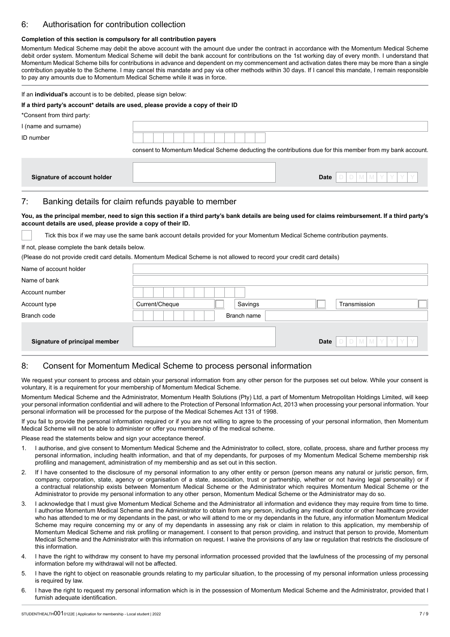# 6: Authorisation for contribution collection

#### **Completion of this section is compulsory for all contribution payers**

Momentum Medical Scheme may debit the above account with the amount due under the contract in accordance with the Momentum Medical Scheme debit order system. Momentum Medical Scheme will debit the bank account for contributions on the 1st working day of every month. I understand that Momentum Medical Scheme bills for contributions in advance and dependent on my commencement and activation dates there may be more than a single contribution payable to the Scheme. I may cancel this mandate and pay via other methods within 30 days. If I cancel this mandate, I remain responsible to pay any amounts due to Momentum Medical Scheme while it was in force.

#### If an **individual's** account is to be debited, please sign below:

#### **If a third party's account\* details are used, please provide a copy of their ID**

# \*Consent from third party:

| I (name and surname)        |                                                                                                          |
|-----------------------------|----------------------------------------------------------------------------------------------------------|
| ID number                   |                                                                                                          |
|                             | consent to Momentum Medical Scheme deducting the contributions due for this member from my bank account. |
|                             |                                                                                                          |
| Signature of account holder | $[D]M[M[Y[Y Y]Y]$<br><b>Date</b>                                                                         |

## 7: Banking details for claim refunds payable to member

#### **You, as the principal member, need to sign this section if a third party's bank details are being used for claims reimbursement. If a third party's account details are used, please provide a copy of their ID.**

Tick this box if we may use the same bank account details provided for your Momentum Medical Scheme contribution payments.

#### If not, please complete the bank details below.

(Please do not provide credit card details. Momentum Medical Scheme is not allowed to record your credit card details)

| Name of account holder        |                |             |                        |
|-------------------------------|----------------|-------------|------------------------|
| Name of bank                  |                |             |                        |
| Account number                |                |             |                        |
| Account type                  | Current/Cheque | Savings     | Transmission           |
| Branch code                   | Branch name    |             |                        |
|                               |                |             |                        |
| Signature of principal member |                | <b>Date</b> | YY<br>Y.<br><b>MMY</b> |

## 8: Consent for Momentum Medical Scheme to process personal information

We request your consent to process and obtain your personal information from any other person for the purposes set out below. While your consent is voluntary, it is a requirement for your membership of Momentum Medical Scheme.

Momentum Medical Scheme and the Administrator, Momentum Health Solutions (Pty) Ltd, a part of Momentum Metropolitan Holdings Limited, will keep your personal information confidential and will adhere to the Protection of Personal Information Act, 2013 when processing your personal information. Your personal information will be processed for the purpose of the Medical Schemes Act 131 of 1998.

If you fail to provide the personal information required or if you are not willing to agree to the processing of your personal information, then Momentum Medical Scheme will not be able to administer or offer you membership of the medical scheme.

Please read the statements below and sign your acceptance thereof.

- 1. I authorise, and give consent to Momentum Medical Scheme and the Administrator to collect, store, collate, process, share and further process my personal information, including health information, and that of my dependants, for purposes of my Momentum Medical Scheme membership risk profiling and management, administration of my membership and as set out in this section.
- 2. If I have consented to the disclosure of my personal information to any other entity or person (person means any natural or juristic person, firm, company, corporation, state, agency or organisation of a state, association, trust or partnership, whether or not having legal personality) or if a contractual relationship exists between Momentum Medical Scheme or the Administrator which requires Momentum Medical Scheme or the Administrator to provide my personal information to any other person, Momentum Medical Scheme or the Administrator may do so.
- 3. I acknowledge that I must give Momentum Medical Scheme and the Administrator all information and evidence they may require from time to time. I authorise Momentum Medical Scheme and the Administrator to obtain from any person, including any medical doctor or other healthcare provider who has attended to me or my dependants in the past, or who will attend to me or my dependants in the future, any information Momentum Medical Scheme may require concerning my or any of my dependants in assessing any risk or claim in relation to this application, my membership of Momentum Medical Scheme and risk profiling or management. I consent to that person providing, and instruct that person to provide, Momentum Medical Scheme and the Administrator with this information on request. I waive the provisions of any law or regulation that restricts the disclosure of this information.
- 4. I have the right to withdraw my consent to have my personal information processed provided that the lawfulness of the processing of my personal information before my withdrawal will not be affected.
- 5. I have the right to object on reasonable grounds relating to my particular situation, to the processing of my personal information unless processing is required by law.
- 6. I have the right to request my personal information which is in the possession of Momentum Medical Scheme and the Administrator, provided that I furnish adequate identification.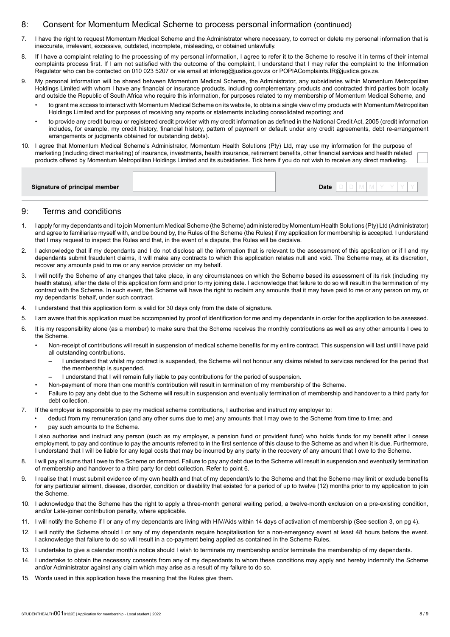## 8: Consent for Momentum Medical Scheme to process personal information (continued)

- 7. I have the right to request Momentum Medical Scheme and the Administrator where necessary, to correct or delete my personal information that is inaccurate, irrelevant, excessive, outdated, incomplete, misleading, or obtained unlawfully.
- 8. If I have a complaint relating to the processing of my personal information, I agree to refer it to the Scheme to resolve it in terms of their internal complaints process first. If I am not satisfied with the outcome of the complaint, I understand that I may refer the complaint to the Information Regulator who can be contacted on 010 023 5207 or via email at inforeg@justice.gov.za or POPIAComplaints.IR@justice.gov.za.
- 9. My personal information will be shared between Momentum Medical Scheme, the Administrator, any subsidiaries within Momentum Metropolitan Holdings Limited with whom I have any financial or insurance products, including complementary products and contracted third parties both locally and outside the Republic of South Africa who require this information, for purposes related to my membership of Momentum Medical Scheme, and
	- to grant me access to interact with Momentum Medical Scheme on its website, to obtain a single view of my products with Momentum Metropolitan Holdings Limited and for purposes of receiving any reports or statements including consolidated reporting; and
	- to provide any credit bureau or registered credit provider with my credit information as defined in the National Credit Act, 2005 (credit information includes, for example, my credit history, financial history, pattern of payment or default under any credit agreements, debt re-arrangement arrangements or judgments obtained for outstanding debts).
- 10. I agree that Momentum Medical Scheme's Administrator, Momentum Health Solutions (Pty) Ltd, may use my information for the purpose of marketing (including direct marketing) of insurance, investments, health insurance, retirement benefits, other financial services and health related products offered by Momentum Metropolitan Holdings Limited and its subsidiaries. Tick here if you do not wish to receive any direct marketing.

### 9: Terms and conditions

- 1. I apply for my dependants and I to join Momentum Medical Scheme (the Scheme) administered by Momentum Health Solutions (Pty) Ltd (Administrator) and agree to familiarise myself with, and be bound by, the Rules of the Scheme (the Rules) if my application for membership is accepted. I understand that I may request to inspect the Rules and that, in the event of a dispute, the Rules will be decisive.
- 2. I acknowledge that if my dependants and I do not disclose all the information that is relevant to the assessment of this application or if I and my dependants submit fraudulent claims, it will make any contracts to which this application relates null and void. The Scheme may, at its discretion, recover any amounts paid to me or any service provider on my behalf.
- 3. I will notify the Scheme of any changes that take place, in any circumstances on which the Scheme based its assessment of its risk (including my health status), after the date of this application form and prior to my joining date. I acknowledge that failure to do so will result in the termination of my contract with the Scheme. In such event, the Scheme will have the right to reclaim any amounts that it may have paid to me or any person on my, or my dependants' behalf, under such contract.
- 4. I understand that this application form is valid for 30 days only from the date of signature.
- 5. I am aware that this application must be accompanied by proof of identification for me and my dependants in order for the application to be assessed.
- 6. It is my responsibility alone (as a member) to make sure that the Scheme receives the monthly contributions as well as any other amounts I owe to the Scheme.
	- Non-receipt of contributions will result in suspension of medical scheme benefits for my entire contract. This suspension will last until I have paid all outstanding contributions.
		- I understand that whilst my contract is suspended, the Scheme will not honour any claims related to services rendered for the period that the membership is suspended.
		- I understand that I will remain fully liable to pay contributions for the period of suspension.
	- Non-payment of more than one month's contribution will result in termination of my membership of the Scheme.
	- Failure to pay any debt due to the Scheme will result in suspension and eventually termination of membership and handover to a third party for debt collection.
- 7. If the employer is responsible to pay my medical scheme contributions, I authorise and instruct my employer to:
	- deduct from my remuneration (and any other sums due to me) any amounts that I may owe to the Scheme from time to time; and • pay such amounts to the Scheme.

I also authorise and instruct any person (such as my employer, a pension fund or provident fund) who holds funds for my benefit after I cease employment, to pay and continue to pay the amounts referred to in the first sentence of this clause to the Scheme as and when it is due. Furthermore, I understand that I will be liable for any legal costs that may be incurred by any party in the recovery of any amount that I owe to the Scheme.

- 8. I will pay all sums that I owe to the Scheme on demand. Failure to pay any debt due to the Scheme will result in suspension and eventually termination of membership and handover to a third party for debt collection. Refer to point 6.
- 9. I realise that I must submit evidence of my own health and that of my dependant/s to the Scheme and that the Scheme may limit or exclude benefits for any particular ailment, disease, disorder, condition or disability that existed for a period of up to twelve (12) months prior to my application to join the Scheme.
- 10. I acknowledge that the Scheme has the right to apply a three-month general waiting period, a twelve-month exclusion on a pre-existing condition, and/or Late-joiner contribution penalty, where applicable.
- 11. I will notify the Scheme if I or any of my dependants are living with HIV/Aids within 14 days of activation of membership (See section 3, on pg 4).
- 12. I will notify the Scheme should I or any of my dependants require hospitalisation for a non-emergency event at least 48 hours before the event. I acknowledge that failure to do so will result in a co-payment being applied as contained in the Scheme Rules.
- 13. I undertake to give a calendar month's notice should I wish to terminate my membership and/or terminate the membership of my dependants.
- 14. I undertake to obtain the necessary consents from any of my dependants to whom these conditions may apply and hereby indemnify the Scheme and/or Administrator against any claim which may arise as a result of my failure to do so.
- 15. Words used in this application have the meaning that the Rules give them.